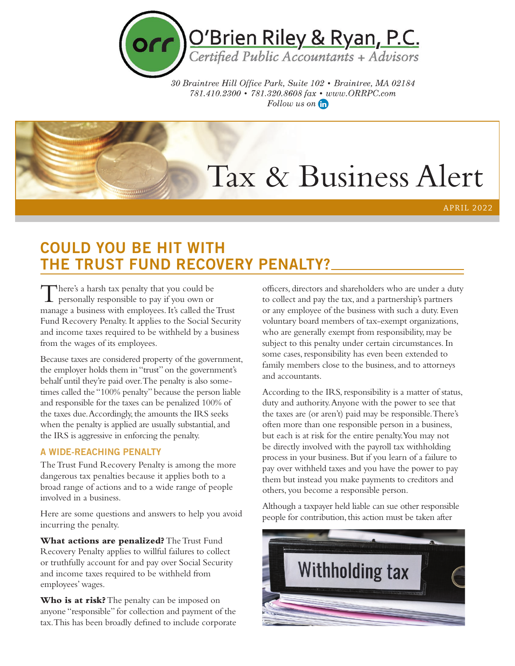

30 Braintree Hill Office Park, Suite 102 · Braintree, MA 02184 781.410.2300 • 781.320.8608 fax • www.ORRPC.com Follow us on **in** 

# Tax & Business Alert

APRIL 2022

# COULD YOU BE HIT WITH THE TRUST FUND RECOVERY PENALTY?

There's a harsh tax penalty that you could be personally responsible to pay if you own or manage a business with employees. It's called the Trust Fund Recovery Penalty. It applies to the Social Security and income taxes required to be withheld by a business from the wages of its employees.

Because taxes are considered property of the government, the employer holds them in "trust" on the government's behalf until they're paid over. The penalty is also sometimes called the "100% penalty" because the person liable and responsible for the taxes can be penalized 100% of the taxes due. Accordingly, the amounts the IRS seeks when the penalty is applied are usually substantial, and the IRS is aggressive in enforcing the penalty.

## A WIDE-REACHING PENALTY

The Trust Fund Recovery Penalty is among the more dangerous tax penalties because it applies both to a broad range of actions and to a wide range of people involved in a business.

Here are some questions and answers to help you avoid incurring the penalty.

**What actions are penalized?** The Trust Fund Recovery Penalty applies to willful failures to collect or truthfully account for and pay over Social Security and income taxes required to be withheld from employees' wages.

**Who is at risk?** The penalty can be imposed on anyone "responsible" for collection and payment of the tax. This has been broadly defined to include corporate officers, directors and shareholders who are under a duty to collect and pay the tax, and a partnership's partners or any employee of the business with such a duty. Even voluntary board members of tax-exempt organizations, who are generally exempt from responsibility, may be subject to this penalty under certain circumstances. In some cases, responsibility has even been extended to family members close to the business, and to attorneys and accountants.

According to the IRS, responsibility is a matter of status, duty and authority. Anyone with the power to see that the taxes are (or aren't) paid may be responsible. There's often more than one responsible person in a business, but each is at risk for the entire penalty. You may not be directly involved with the payroll tax withholding process in your business. But if you learn of a failure to pay over withheld taxes and you have the power to pay them but instead you make payments to creditors and others, you become a responsible person.

Although a taxpayer held liable can sue other responsible people for contribution, this action must be taken after

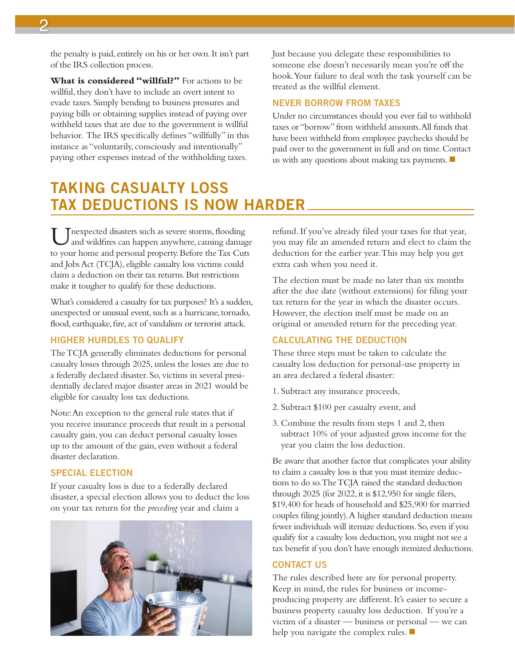the penalty is paid, entirely on his or her own. It isn't part of the IRS collection process.

**What is considered "willful?"** For actions to be willful, they don't have to include an overt intent to evade taxes. Simply bending to business pressures and paying bills or obtaining supplies instead of paying over withheld taxes that are due to the government is willful behavior. The IRS specifically defines "willfully" in this instance as "voluntarily, consciously and intentionally" paying other expenses instead of the withholding taxes.

Just because you delegate these responsibilities to someone else doesn't necessarily mean you're off the hook. Your failure to deal with the task yourself can be treated as the willful element.

#### NEVER BORROW FROM TAXES

Under no circumstances should you ever fail to withhold taxes or "borrow" from withheld amounts. All funds that have been withheld from employee paychecks should be paid over to the government in full and on time. Contact us with any questions about making tax payments.  $\blacksquare$ 

# TAKING CASUALTY LOSS TAX DEDUCTIONS IS NOW HARDER

Tnexpected disasters such as severe storms, flooding and wildfires can happen anywhere, causing damage to your home and personal property. Before the Tax Cuts and Jobs Act (TCJA), eligible casualty loss victims could claim a deduction on their tax returns. But restrictions make it tougher to qualify for these deductions.

What's considered a casualty for tax purposes? It's a sudden, unexpected or unusual event, such as a hurricane, tornado, flood, earthquake, fire, act of vandalism or terrorist attack.

#### HIGHER HURDLES TO QUALIFY

The TCJA generally eliminates deductions for personal casualty losses through 2025, unless the losses are due to a federally declared disaster. So, victims in several presidentially declared major disaster areas in 2021 would be eligible for casualty loss tax deductions.

Note: An exception to the general rule states that if you receive insurance proceeds that result in a personal casualty gain, you can deduct personal casualty losses up to the amount of the gain, even without a federal disaster declaration.

#### SPECIAL ELECTION

If your casualty loss is due to a federally declared disaster, a special election allows you to deduct the loss on your tax return for the *preceding* year and claim a



refund. If you've already filed your taxes for that year, you may file an amended return and elect to claim the deduction for the earlier year. This may help you get extra cash when you need it.

The election must be made no later than six months after the due date (without extensions) for filing your tax return for the year in which the disaster occurs. However, the election itself must be made on an original or amended return for the preceding year.

#### CALCULATING THE DEDUCTION

These three steps must be taken to calculate the casualty loss deduction for personal-use property in an area declared a federal disaster:

- 1. Subtract any insurance proceeds,
- 2. Subtract \$100 per casualty event, and
- 3. Combine the results from steps 1 and 2, then subtract 10% of your adjusted gross income for the year you claim the loss deduction.

Be aware that another factor that complicates your ability to claim a casualty loss is that you must itemize deductions to do so. The TCJA raised the standard deduction through 2025 (for 2022, it is \$12,950 for single filers, \$19,400 for heads of household and \$25,900 for married couples filing jointly). A higher standard deduction means fewer individuals will itemize deductions. So, even if you qualify for a casualty loss deduction, you might not see a tax benefit if you don't have enough itemized deductions.

#### CONTACT US

The rules described here are for personal property. Keep in mind, the rules for business or incomeproducing property are different. It's easier to secure a business property casualty loss deduction. If you're a victim of a disaster — business or personal — we can help you navigate the complex rules.  $\blacksquare$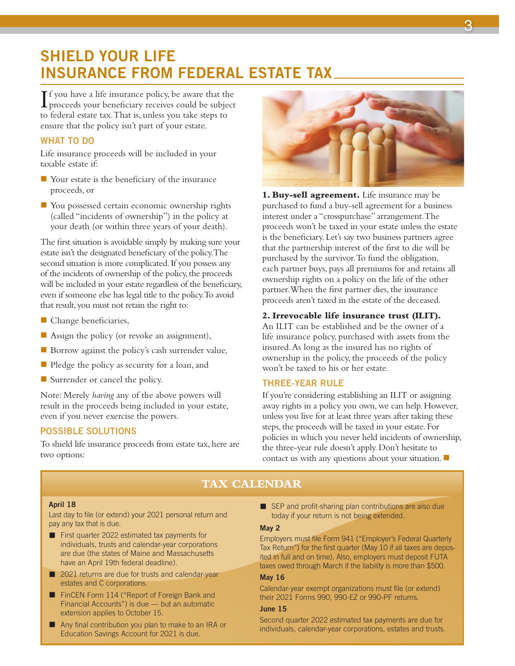# SHIELD YOUR LIFE INSURANCE FROM FEDERAL ESTATE TAX

If you have a life insurance policy, be aware that the<br>proceeds your beneficiary receives could be subject proceeds your beneficiary receives could be subject to federal estate tax. That is, unless you take steps to ensure that the policy isn't part of your estate.

## WHAT TO DO

Life insurance proceeds will be included in your taxable estate if:

- $\blacksquare$  Your estate is the beneficiary of the insurance proceeds, or
- You possessed certain economic ownership rights (called "incidents of ownership") in the policy at your death (or within three years of your death).

The first situation is avoidable simply by making sure your estate isn't the designated beneficiary of the policy. The second situation is more complicated. If you possess any of the incidents of ownership of the policy, the proceeds will be included in your estate regardless of the beneficiary, even if someone else has legal title to the policy. To avoid that result, you must not retain the right to:

- $\blacksquare$  Change beneficiaries,
- Assign the policy (or revoke an assignment),
- $\blacksquare$  Borrow against the policy's cash surrender value,
- Pledge the policy as security for a loan, and
- Surrender or cancel the policy.

Note: Merely *having* any of the above powers will result in the proceeds being included in your estate, even if you never exercise the powers.

#### POSSIBLE SOLUTIONS

To shield life insurance proceeds from estate tax, here are two options:



**1. Buy-sell agreement.** Life insurance may be purchased to fund a buy-sell agreement for a business interest under a "crosspurchase" arrangement. The proceeds won't be taxed in your estate unless the estate is the beneficiary. Let's say two business partners agree that the partnership interest of the first to die will be purchased by the survivor. To fund the obligation, each partner buys, pays all premiums for and retains all ownership rights on a policy on the life of the other partner. When the first partner dies, the insurance proceeds aren't taxed in the estate of the deceased.

## **2. Irrevocable life insurance trust (ILIT).**

An ILIT can be established and be the owner of a life insurance policy, purchased with assets from the insured. As long as the insured has no rights of ownership in the policy, the proceeds of the policy won't be taxed to his or her estate.

#### THREE-YEAR RULE

If you're considering establishing an ILIT or assigning away rights in a policy you own, we can help. However, unless you live for at least three years after taking these steps, the proceeds will be taxed in your estate. For policies in which you never held incidents of ownership, the three-year rule doesn't apply. Don't hesitate to contact us with any questions about your situation.  $\blacksquare$ 

## **TAX CALENDAR**

#### April 18

Last day to file (or extend) your 2021 personal return and pay any tax that is due.

- First quarter 2022 estimated tax payments for individuals, trusts and calendar-year corporations are due (the states of Maine and Massachusetts have an April 19th federal deadline).
- 2021 returns are due for trusts and calendar-year estates and C corporations.
- FinCEN Form 114 ("Report of Foreign Bank and Financial Accounts") is due — but an automatic extension applies to October 15.
- Any final contribution you plan to make to an IRA or Education Savings Account for 2021 is due.

 $\blacksquare$  SEP and profit-sharing plan contributions are also due today if your return is not being extended.

#### May 2

Employers must file Form 941 ("Employer's Federal Quarterly Tax Return") for the first quarter (May 10 if all taxes are deposited in full and on time). Also, employers must deposit FUTA taxes owed through March if the liability is more than \$500.

#### May 16

Calendar-year exempt organizations must file (or extend) their 2021 Forms 990, 990-EZ or 990-PF returns.

#### June 15

Second quarter 2022 estimated tax payments are due for individuals, calendar-year corporations, estates and trusts.